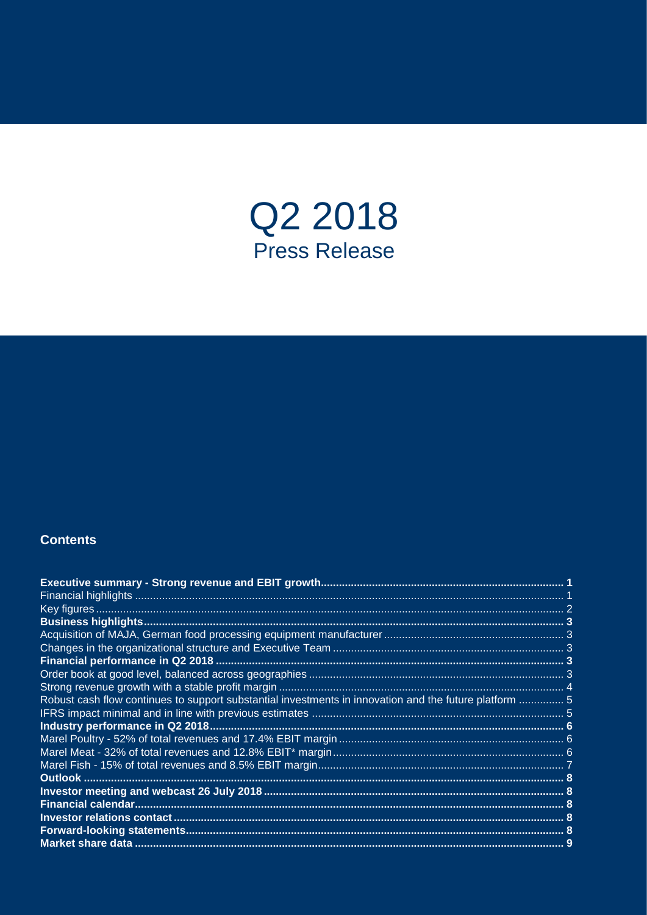

# **Contents**

| Robust cash flow continues to support substantial investments in innovation and the future platform  5 |  |
|--------------------------------------------------------------------------------------------------------|--|
|                                                                                                        |  |
|                                                                                                        |  |
|                                                                                                        |  |
|                                                                                                        |  |
|                                                                                                        |  |
|                                                                                                        |  |
|                                                                                                        |  |
|                                                                                                        |  |
|                                                                                                        |  |
|                                                                                                        |  |
|                                                                                                        |  |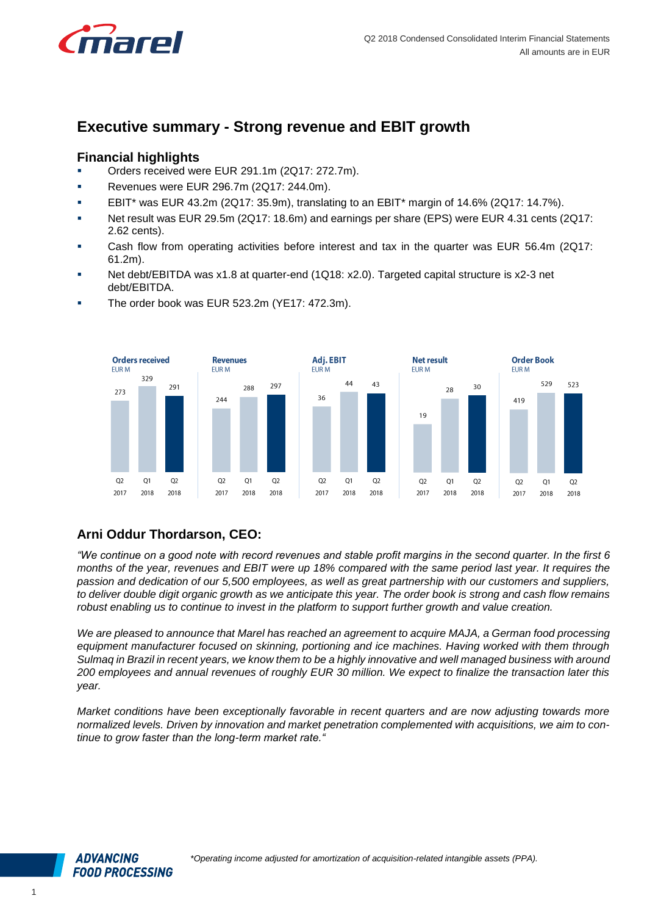

# <span id="page-1-0"></span>**Executive summary - Strong revenue and EBIT growth**

## <span id="page-1-1"></span>**Financial highlights**

- Orders received were EUR 291.1m (2Q17: 272.7m).
- **Revenues were EUR 296.7m (2Q17: 244.0m).**
- **EBIT\*** was EUR 43.2m (2Q17: 35.9m), translating to an EBIT\* margin of 14.6% (2Q17: 14.7%).
- Net result was EUR 29.5m (2Q17: 18.6m) and earnings per share (EPS) were EUR 4.31 cents (2Q17: 2.62 cents).
- Cash flow from operating activities before interest and tax in the quarter was EUR 56.4m (2Q17: 61.2m).
- Net debt/EBITDA was x1.8 at quarter-end (1Q18: x2.0). Targeted capital structure is x2-3 net debt/EBITDA.



The order book was EUR 523.2m (YE17: 472.3m).

# **Arni Oddur Thordarson, CEO:**

*"We continue on a good note with record revenues and stable profit margins in the second quarter. In the first 6 months of the year, revenues and EBIT were up 18% compared with the same period last year. It requires the passion and dedication of our 5,500 employees, as well as great partnership with our customers and suppliers, to deliver double digit organic growth as we anticipate this year. The order book is strong and cash flow remains robust enabling us to continue to invest in the platform to support further growth and value creation.* 

*We are pleased to announce that Marel has reached an agreement to acquire MAJA, a German food processing equipment manufacturer focused on skinning, portioning and ice machines. Having worked with them through Sulmaq in Brazil in recent years, we know them to be a highly innovative and well managed business with around 200 employees and annual revenues of roughly EUR 30 million. We expect to finalize the transaction later this year.* 

*Market conditions have been exceptionally favorable in recent quarters and are now adjusting towards more normalized levels. Driven by innovation and market penetration complemented with acquisitions, we aim to continue to grow faster than the long-term market rate."*

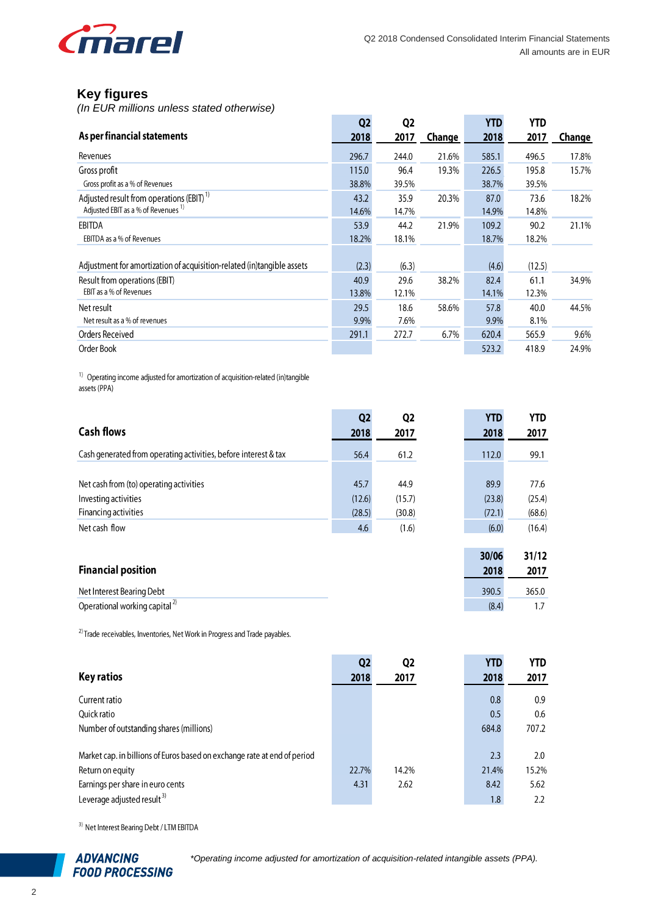![](_page_2_Picture_0.jpeg)

# <span id="page-2-0"></span>**Key figures**

*(In EUR millions unless stated otherwise)*

|                                                                        | Q <sub>2</sub> | Q <sub>2</sub> |        | <b>YTD</b> | YTD    |        |
|------------------------------------------------------------------------|----------------|----------------|--------|------------|--------|--------|
| As per financial statements                                            | 2018           | 2017           | Change | 2018       | 2017   | Change |
| Revenues                                                               | 296.7          | 244.0          | 21.6%  | 585.1      | 496.5  | 17.8%  |
| Gross profit                                                           | 115.0          | 96.4           | 19.3%  | 226.5      | 195.8  | 15.7%  |
| Gross profit as a % of Revenues                                        | 38.8%          | 39.5%          |        | 38.7%      | 39.5%  |        |
| Adjusted result from operations (EBIT) <sup>1)</sup>                   | 43.2           | 35.9           | 20.3%  | 87.0       | 73.6   | 18.2%  |
| Adjusted EBIT as a % of Revenues <sup>1)</sup>                         | 14.6%          | 14.7%          |        | 14.9%      | 14.8%  |        |
| <b>EBITDA</b>                                                          | 53.9           | 44.2           | 21.9%  | 109.2      | 90.2   | 21.1%  |
| EBITDA as a % of Revenues                                              | 18.2%          | 18.1%          |        | 18.7%      | 18.2%  |        |
|                                                                        |                |                |        |            |        |        |
| Adjustment for amortization of acquisition-related (in)tangible assets | (2.3)          | (6.3)          |        | (4.6)      | (12.5) |        |
| Result from operations (EBIT)                                          | 40.9           | 29.6           | 38.2%  | 82.4       | 61.1   | 34.9%  |
| EBIT as a % of Revenues                                                | 13.8%          | 12.1%          |        | 14.1%      | 12.3%  |        |
| Net result                                                             | 29.5           | 18.6           | 58.6%  | 57.8       | 40.0   | 44.5%  |
| Net result as a % of revenues                                          | 9.9%           | 7.6%           |        | 9.9%       | 8.1%   |        |
| Orders Received                                                        | 291.1          | 272.7          | 6.7%   | 620.4      | 565.9  | 9.6%   |
| Order Book                                                             |                |                |        | 523.2      | 418.9  | 24.9%  |

<sup>1)</sup> Operating income adjusted for amortization of acquisition-related (in)tangible assets (PPA)

|                                                                                                             | Q <sub>2</sub> | Q <sub>2</sub> | <b>YTD</b> | <b>YTD</b> |
|-------------------------------------------------------------------------------------------------------------|----------------|----------------|------------|------------|
| <b>Cash flows</b>                                                                                           | 2018           | 2017           | 2018       | 2017       |
| Cash generated from operating activities, before interest & tax                                             | 56.4           | 61.2           | 112.0      | 99.1       |
|                                                                                                             |                |                |            |            |
| Net cash from (to) operating activities                                                                     | 45.7           | 44.9           | 89.9       | 77.6       |
| Investing activities                                                                                        | (12.6)         | (15.7)         | (23.8)     | (25.4)     |
| Financing activities                                                                                        | (28.5)         | (30.8)         | (72.1)     | (68.6)     |
| Net cash flow                                                                                               | 4.6            | (1.6)          | (6.0)      | (16.4)     |
|                                                                                                             |                |                |            |            |
|                                                                                                             |                |                | 30/06      | 31/12      |
| $\mathbf{r}$ , and $\mathbf{r}$ , and $\mathbf{r}$ , and $\mathbf{r}$ , and $\mathbf{r}$ , and $\mathbf{r}$ |                |                |            |            |

| <b>Financial position</b>          | 2018  | 2017  |
|------------------------------------|-------|-------|
| Net Interest Bearing Debt          | 390.5 | 365.0 |
| Operational working capital $^{2}$ | (8.4) |       |

 $^{2)}$  Trade receivables, Inventories, Net Work in Progress and Trade payables.

|                                                                          | Q <sub>2</sub> | Q <sub>2</sub> | <b>YTD</b> | YTD.  |
|--------------------------------------------------------------------------|----------------|----------------|------------|-------|
| <b>Key ratios</b>                                                        | 2018           | 2017           | 2018       | 2017  |
| Current ratio                                                            |                |                | 0.8        | 0.9   |
| Ouick ratio                                                              |                |                | 0.5        | 0.6   |
| Number of outstanding shares (millions)                                  |                |                | 684.8      | 707.2 |
|                                                                          |                |                |            |       |
| Market cap. in billions of Euros based on exchange rate at end of period |                |                | 2.3        | 2.0   |
| Return on equity                                                         | 22.7%          | 14.2%          | 21.4%      | 15.2% |
| Earnings per share in euro cents                                         | 4.31           | 2.62           | 8.42       | 5.62  |
| Leverage adjusted result <sup>3)</sup>                                   |                |                | 1.8        | 2.2   |

<sup>3)</sup> Net Interest Bearing Debt / LTM EBITDA

![](_page_2_Picture_11.jpeg)

*\*Operating income adjusted for amortization of acquisition-related intangible assets (PPA).*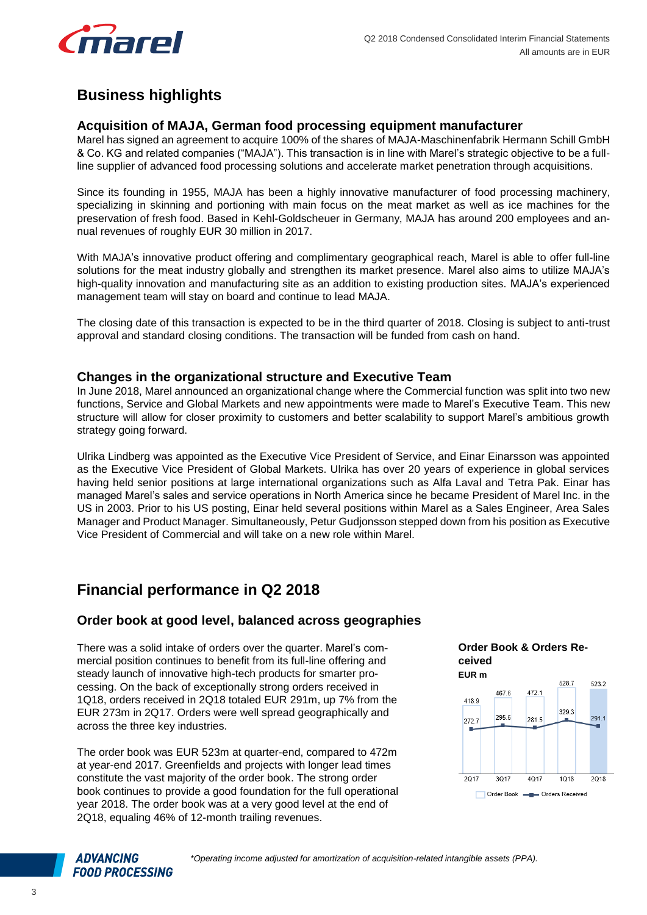![](_page_3_Picture_0.jpeg)

# <span id="page-3-0"></span>**Business highlights**

#### <span id="page-3-1"></span>**Acquisition of MAJA, German food processing equipment manufacturer**

Marel has signed an agreement to acquire 100% of the shares of MAJA-Maschinenfabrik Hermann Schill GmbH & Co. KG and related companies ("MAJA"). This transaction is in line with Marel's strategic objective to be a fullline supplier of advanced food processing solutions and accelerate market penetration through acquisitions.

Since its founding in 1955, MAJA has been a highly innovative manufacturer of food processing machinery, specializing in skinning and portioning with main focus on the meat market as well as ice machines for the preservation of fresh food. Based in Kehl-Goldscheuer in Germany, MAJA has around 200 employees and annual revenues of roughly EUR 30 million in 2017.

With MAJA's innovative product offering and complimentary geographical reach, Marel is able to offer full-line solutions for the meat industry globally and strengthen its market presence. Marel also aims to utilize MAJA's high-quality innovation and manufacturing site as an addition to existing production sites. MAJA's experienced management team will stay on board and continue to lead MAJA.

The closing date of this transaction is expected to be in the third quarter of 2018. Closing is subject to anti-trust approval and standard closing conditions. The transaction will be funded from cash on hand.

#### <span id="page-3-2"></span>**Changes in the organizational structure and Executive Team**

In June 2018, Marel announced an organizational change where the Commercial function was split into two new functions, Service and Global Markets and new appointments were made to Marel's Executive Team. This new structure will allow for closer proximity to customers and better scalability to support Marel's ambitious growth strategy going forward.

Ulrika Lindberg was appointed as the Executive Vice President of Service, and Einar Einarsson was appointed as the Executive Vice President of Global Markets. Ulrika has over 20 years of experience in global services having held senior positions at large international organizations such as Alfa Laval and Tetra Pak. Einar has managed Marel's sales and service operations in North America since he became President of Marel Inc. in the US in 2003. Prior to his US posting, Einar held several positions within Marel as a Sales Engineer, Area Sales Manager and Product Manager. Simultaneously, Petur Gudjonsson stepped down from his position as Executive Vice President of Commercial and will take on a new role within Marel.

# <span id="page-3-3"></span>**Financial performance in Q2 2018**

#### <span id="page-3-4"></span>**Order book at good level, balanced across geographies**

There was a solid intake of orders over the quarter. Marel's commercial position continues to benefit from its full-line offering and steady launch of innovative high-tech products for smarter processing. On the back of exceptionally strong orders received in 1Q18, orders received in 2Q18 totaled EUR 291m, up 7% from the EUR 273m in 2Q17. Orders were well spread geographically and across the three key industries.

The order book was EUR 523m at quarter-end, compared to 472m at year-end 2017. Greenfields and projects with longer lead times constitute the vast majority of the order book. The strong order book continues to provide a good foundation for the full operational year 2018. The order book was at a very good level at the end of 2Q18, equaling 46% of 12-month trailing revenues.

![](_page_3_Figure_15.jpeg)

![](_page_3_Figure_16.jpeg)

![](_page_3_Picture_17.jpeg)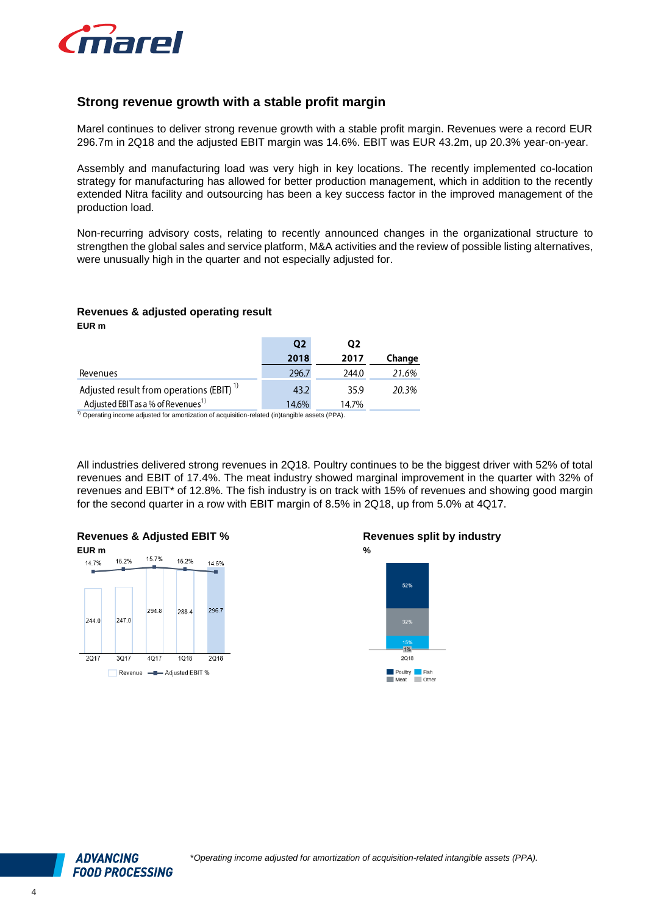![](_page_4_Picture_0.jpeg)

#### <span id="page-4-0"></span>**Strong revenue growth with a stable profit margin**

Marel continues to deliver strong revenue growth with a stable profit margin. Revenues were a record EUR 296.7m in 2Q18 and the adjusted EBIT margin was 14.6%. EBIT was EUR 43.2m, up 20.3% year-on-year.

Assembly and manufacturing load was very high in key locations. The recently implemented co-location strategy for manufacturing has allowed for better production management, which in addition to the recently extended Nitra facility and outsourcing has been a key success factor in the improved management of the production load.

Non-recurring advisory costs, relating to recently announced changes in the organizational structure to strengthen the global sales and service platform, M&A activities and the review of possible listing alternatives, were unusually high in the quarter and not especially adjusted for.

#### **Revenues & adjusted operating result**

**EUR m**

|                                                                                                            | Q <sub>2</sub> | Ο2    |        |
|------------------------------------------------------------------------------------------------------------|----------------|-------|--------|
|                                                                                                            | 2018           | 2017  | Change |
| Revenues                                                                                                   | 296.7          | 244.0 | 21.6%  |
| Adjusted result from operations (EBIT) <sup>1)</sup>                                                       | 43.2           | 35.9  | 20.3%  |
| Adjusted EBIT as a % of Revenues <sup>1)</sup>                                                             | 14.6%          | 14.7% |        |
| <sup>1)</sup> Operating income adjusted for amortization of acquisition-related (in)tangible assets (PPA). |                |       |        |

<sup>1)</sup> Operating income adjusted for amortization of acquisition-related (in)tangible assets (PPA).

All industries delivered strong revenues in 2Q18. Poultry continues to be the biggest driver with 52% of total revenues and EBIT of 17.4%. The meat industry showed marginal improvement in the quarter with 32% of revenues and EBIT\* of 12.8%. The fish industry is on track with 15% of revenues and showing good margin for the second quarter in a row with EBIT margin of 8.5% in 2Q18, up from 5.0% at 4Q17.

#### **Revenues & Adjusted EBIT % EUR m** 157% 15.2% 15 2% 14 7% 14.6%

![](_page_4_Figure_11.jpeg)

#### **Revenues split by industry**

![](_page_4_Figure_13.jpeg)

![](_page_4_Picture_14.jpeg)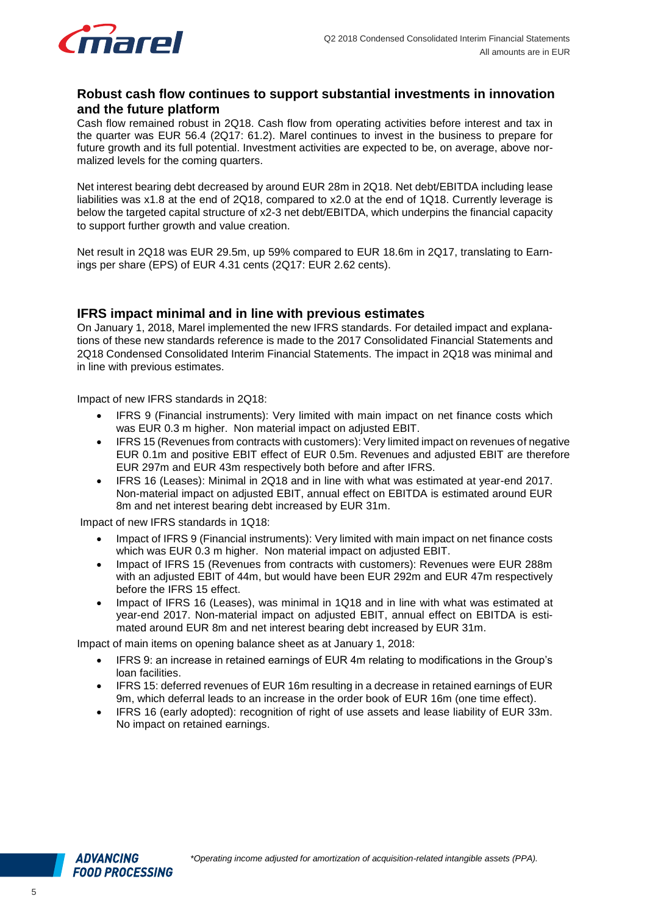![](_page_5_Picture_0.jpeg)

#### <span id="page-5-0"></span>**Robust cash flow continues to support substantial investments in innovation and the future platform**

Cash flow remained robust in 2Q18. Cash flow from operating activities before interest and tax in the quarter was EUR 56.4 (2Q17: 61.2). Marel continues to invest in the business to prepare for future growth and its full potential. Investment activities are expected to be, on average, above normalized levels for the coming quarters.

Net interest bearing debt decreased by around EUR 28m in 2Q18. Net debt/EBITDA including lease liabilities was x1.8 at the end of 2Q18, compared to x2.0 at the end of 1Q18. Currently leverage is below the targeted capital structure of x2-3 net debt/EBITDA, which underpins the financial capacity to support further growth and value creation.

Net result in 2Q18 was EUR 29.5m, up 59% compared to EUR 18.6m in 2Q17, translating to Earnings per share (EPS) of EUR 4.31 cents (2Q17: EUR 2.62 cents).

#### <span id="page-5-1"></span>**IFRS impact minimal and in line with previous estimates**

On January 1, 2018, Marel implemented the new IFRS standards. For detailed impact and explanations of these new standards reference is made to the 2017 Consolidated Financial Statements and 2Q18 Condensed Consolidated Interim Financial Statements. The impact in 2Q18 was minimal and in line with previous estimates.

Impact of new IFRS standards in 2Q18:

- IFRS 9 (Financial instruments): Very limited with main impact on net finance costs which was EUR 0.3 m higher. Non material impact on adjusted EBIT.
- IFRS 15 (Revenues from contracts with customers): Very limited impact on revenues of negative EUR 0.1m and positive EBIT effect of EUR 0.5m. Revenues and adjusted EBIT are therefore EUR 297m and EUR 43m respectively both before and after IFRS.
- IFRS 16 (Leases): Minimal in 2Q18 and in line with what was estimated at year-end 2017. Non-material impact on adjusted EBIT, annual effect on EBITDA is estimated around EUR 8m and net interest bearing debt increased by EUR 31m.

Impact of new IFRS standards in 1Q18:

- Impact of IFRS 9 (Financial instruments): Very limited with main impact on net finance costs which was EUR 0.3 m higher. Non material impact on adjusted EBIT.
- Impact of IFRS 15 (Revenues from contracts with customers): Revenues were EUR 288m with an adjusted EBIT of 44m, but would have been EUR 292m and EUR 47m respectively before the IFRS 15 effect.
- Impact of IFRS 16 (Leases), was minimal in 1Q18 and in line with what was estimated at year-end 2017. Non-material impact on adjusted EBIT, annual effect on EBITDA is estimated around EUR 8m and net interest bearing debt increased by EUR 31m.

Impact of main items on opening balance sheet as at January 1, 2018:

- IFRS 9: an increase in retained earnings of EUR 4m relating to modifications in the Group's loan facilities.
- IFRS 15: deferred revenues of EUR 16m resulting in a decrease in retained earnings of EUR 9m, which deferral leads to an increase in the order book of EUR 16m (one time effect).
- IFRS 16 (early adopted): recognition of right of use assets and lease liability of EUR 33m. No impact on retained earnings.

![](_page_5_Picture_20.jpeg)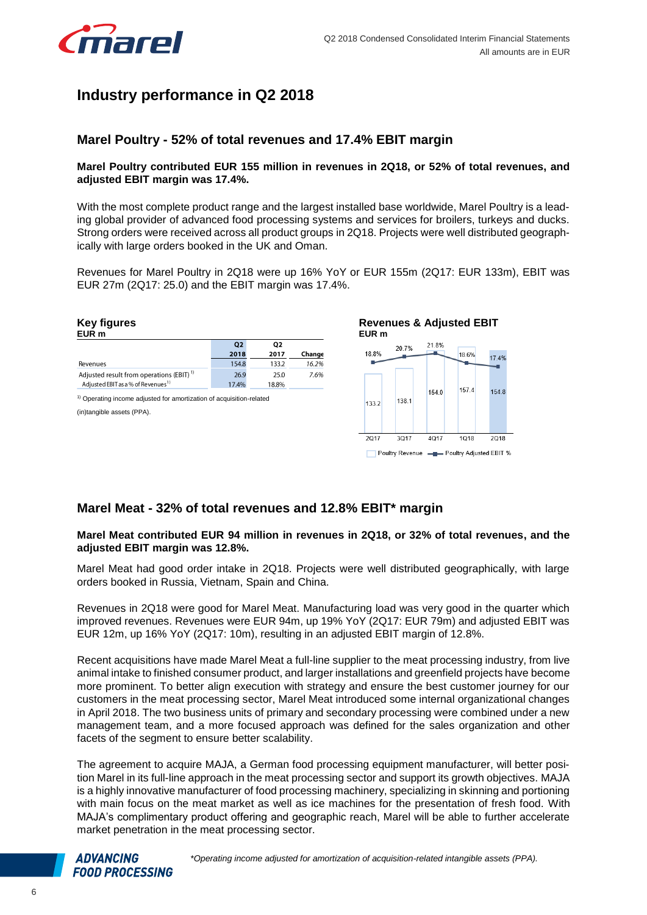![](_page_6_Picture_1.jpeg)

# <span id="page-6-0"></span>**Industry performance in Q2 2018**

#### <span id="page-6-1"></span>**Marel Poultry - 52% of total revenues and 17.4% EBIT margin**

#### **Marel Poultry contributed EUR 155 million in revenues in 2Q18, or 52% of total revenues, and adjusted EBIT margin was 17.4%.**

With the most complete product range and the largest installed base worldwide, Marel Poultry is a leading global provider of advanced food processing systems and services for broilers, turkeys and ducks. Strong orders were received across all product groups in 2Q18. Projects were well distributed geographically with large orders booked in the UK and Oman.

Revenues for Marel Poultry in 2Q18 were up 16% YoY or EUR 155m (2Q17: EUR 133m), EBIT was EUR 27m (2Q17: 25.0) and the EBIT margin was 17.4%.

![](_page_6_Figure_7.jpeg)

## <span id="page-6-2"></span>**Marel Meat - 32% of total revenues and 12.8% EBIT\* margin**

#### **Marel Meat contributed EUR 94 million in revenues in 2Q18, or 32% of total revenues, and the adjusted EBIT margin was 12.8%.**

Marel Meat had good order intake in 2Q18. Projects were well distributed geographically, with large orders booked in Russia, Vietnam, Spain and China.

Revenues in 2Q18 were good for Marel Meat. Manufacturing load was very good in the quarter which improved revenues. Revenues were EUR 94m, up 19% YoY (2Q17: EUR 79m) and adjusted EBIT was EUR 12m, up 16% YoY (2Q17: 10m), resulting in an adjusted EBIT margin of 12.8%.

Recent acquisitions have made Marel Meat a full-line supplier to the meat processing industry, from live animal intake to finished consumer product, and larger installations and greenfield projects have become more prominent. To better align execution with strategy and ensure the best customer journey for our customers in the meat processing sector, Marel Meat introduced some internal organizational changes in April 2018. The two business units of primary and secondary processing were combined under a new management team, and a more focused approach was defined for the sales organization and other facets of the segment to ensure better scalability.

The agreement to acquire MAJA, a German food processing equipment manufacturer, will better position Marel in its full-line approach in the meat processing sector and support its growth objectives. MAJA is a highly innovative manufacturer of food processing machinery, specializing in skinning and portioning with main focus on the meat market as well as ice machines for the presentation of fresh food. With MAJA's complimentary product offering and geographic reach, Marel will be able to further accelerate market penetration in the meat processing sector.

![](_page_6_Picture_14.jpeg)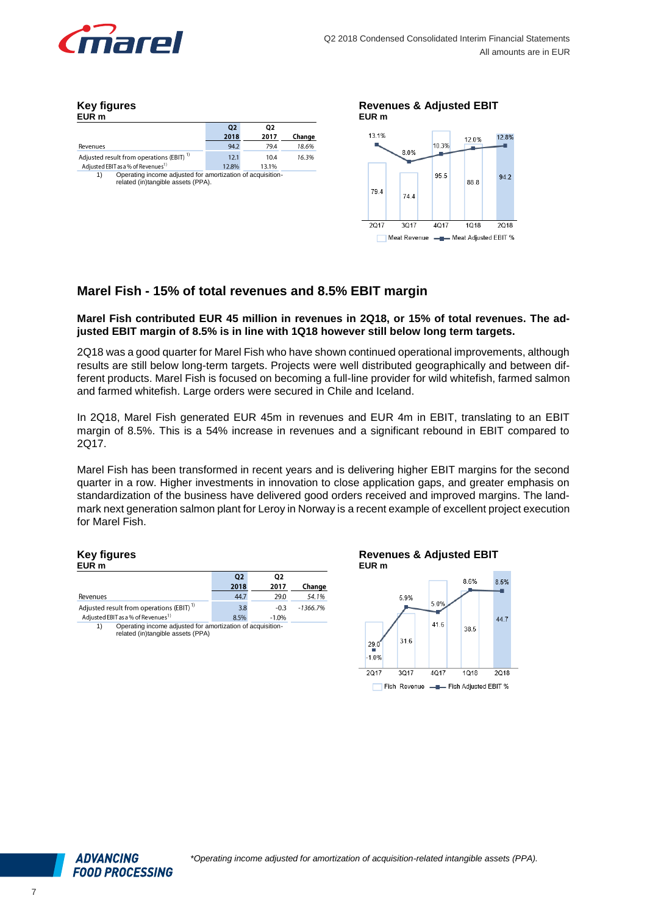![](_page_7_Picture_0.jpeg)

#### **Key figures EUR m**

|                                                                                                        | Q <sub>2</sub> | Q2    |        |
|--------------------------------------------------------------------------------------------------------|----------------|-------|--------|
|                                                                                                        | 2018           | 2017  | Change |
| Revenues                                                                                               | 94.2           | 79.4  | 18.6%  |
| Adjusted result from operations (EBIT) <sup>17</sup>                                                   | 12.1           | 10.4  | 16.3%  |
| Adjusted EBIT as a % of Revenues <sup>1)</sup>                                                         | 12.8%          | 13.1% |        |
| Operating income adjusted for amortization of acquisition-<br>1)<br>related (in)tangible assets (PPA). |                |       |        |

![](_page_7_Figure_4.jpeg)

## <span id="page-7-0"></span>**Marel Fish - 15% of total revenues and 8.5% EBIT margin**

#### **Marel Fish contributed EUR 45 million in revenues in 2Q18, or 15% of total revenues. The adjusted EBIT margin of 8.5% is in line with 1Q18 however still below long term targets.**

2Q18 was a good quarter for Marel Fish who have shown continued operational improvements, although results are still below long-term targets. Projects were well distributed geographically and between different products. Marel Fish is focused on becoming a full-line provider for wild whitefish, farmed salmon and farmed whitefish. Large orders were secured in Chile and Iceland.

In 2Q18, Marel Fish generated EUR 45m in revenues and EUR 4m in EBIT, translating to an EBIT margin of 8.5%. This is a 54% increase in revenues and a significant rebound in EBIT compared to 2Q17.

Marel Fish has been transformed in recent years and is delivering higher EBIT margins for the second quarter in a row. Higher investments in innovation to close application gaps, and greater emphasis on standardization of the business have delivered good orders received and improved margins. The landmark next generation salmon plant for Leroy in Norway is a recent example of excellent project execution for Marel Fish.

#### **Key figures EUR m**

|                                                                                                       | Q <sub>2</sub> | Q2      |            |  |
|-------------------------------------------------------------------------------------------------------|----------------|---------|------------|--|
|                                                                                                       | 2018           | 2017    | Change     |  |
| Revenues                                                                                              | 44.7           | 29.0    | 54.1%      |  |
| Adjusted result from operations (EBIT) <sup>17</sup>                                                  | 3.8            | $-0.3$  | $-1366.7%$ |  |
| Adjusted EBIT as a % of Revenues <sup>1)</sup>                                                        | 8.5%           | $-1.0%$ |            |  |
| Operating income adjusted for amortization of acquisition-<br>1)<br>related (in)tangible assets (PPA) |                |         |            |  |

![](_page_7_Figure_12.jpeg)

![](_page_7_Figure_13.jpeg)

![](_page_7_Picture_14.jpeg)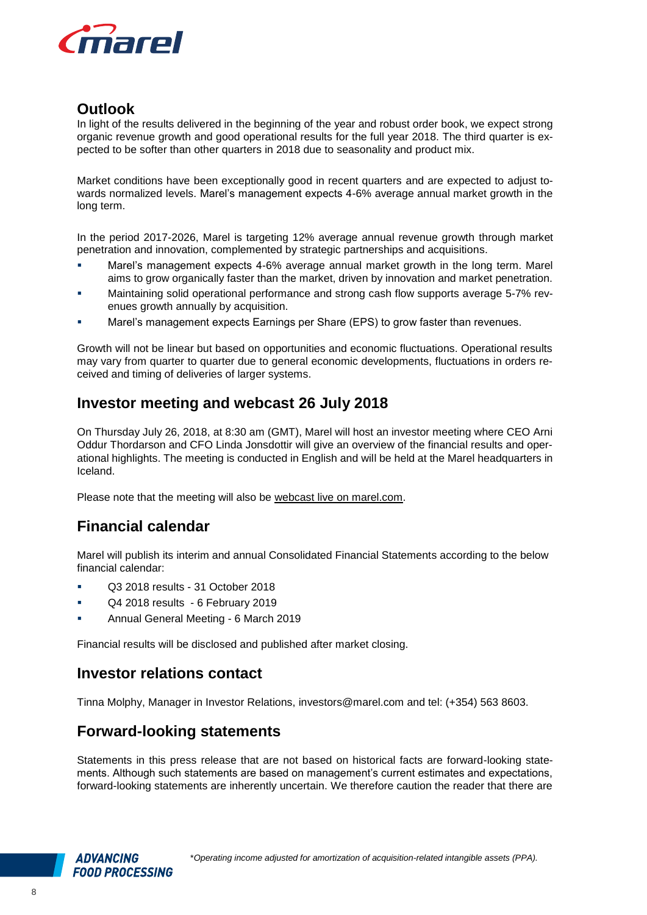![](_page_8_Picture_0.jpeg)

# <span id="page-8-0"></span>**Outlook**

In light of the results delivered in the beginning of the year and robust order book, we expect strong organic revenue growth and good operational results for the full year 2018. The third quarter is expected to be softer than other quarters in 2018 due to seasonality and product mix.

Market conditions have been exceptionally good in recent quarters and are expected to adjust towards normalized levels. Marel's management expects 4-6% average annual market growth in the long term.

In the period 2017-2026, Marel is targeting 12% average annual revenue growth through market penetration and innovation, complemented by strategic partnerships and acquisitions.

- Marel's management expects 4-6% average annual market growth in the long term. Marel aims to grow organically faster than the market, driven by innovation and market penetration.
- Maintaining solid operational performance and strong cash flow supports average 5-7% revenues growth annually by acquisition.
- Marel's management expects Earnings per Share (EPS) to grow faster than revenues.

Growth will not be linear but based on opportunities and economic fluctuations. Operational results may vary from quarter to quarter due to general economic developments, fluctuations in orders received and timing of deliveries of larger systems.

# <span id="page-8-1"></span>**Investor meeting and webcast 26 July 2018**

On Thursday July 26, 2018, at 8:30 am (GMT), Marel will host an investor meeting where CEO Arni Oddur Thordarson and CFO Linda Jonsdottir will give an overview of the financial results and operational highlights. The meeting is conducted in English and will be held at the Marel headquarters in Iceland.

Please note that the meeting will also be [webcast live on marel.com.](http://www.marel.com/webcast)

# <span id="page-8-2"></span>**Financial calendar**

Marel will publish its interim and annual Consolidated Financial Statements according to the below financial calendar:

- Q3 2018 results 31 October 2018
- Q4 2018 results 6 February 2019
- **Annual General Meeting 6 March 2019**

Financial results will be disclosed and published after market closing.

# <span id="page-8-3"></span>**Investor relations contact**

Tinna Molphy, Manager in Investor Relations, [investors@marel.com](mailto:investors@marel.com) and tel: (+354) 563 8603.

# <span id="page-8-4"></span>**Forward-looking statements**

Statements in this press release that are not based on historical facts are forward-looking statements. Although such statements are based on management's current estimates and expectations, forward-looking statements are inherently uncertain. We therefore caution the reader that there are

![](_page_8_Picture_22.jpeg)